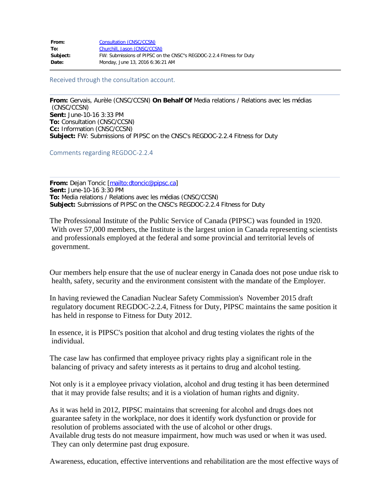| Consultation (CNSC/CCSN)                                             |
|----------------------------------------------------------------------|
| Churchill, Jason (CNSC/CCSN)                                         |
| FW: Submissions of PIPSC on the CNSC"s REGDOC-2.2.4 Fitness for Duty |
| Monday, June 13, 2016 6:36:21 AM                                     |
|                                                                      |

Received through the consultation account.

**From:** Gervais, Aurèle (CNSC/CCSN) **On Behalf Of** Media relations / Relations avec les médias (CNSC/CCSN) **Sent:** June-10-16 3:33 PM **To:** Consultation (CNSC/CCSN) **Cc:** Information (CNSC/CCSN) **Subject:** FW: Submissions of PIPSC on the CNSC's REGDOC-2.2.4 Fitness for Duty

Comments regarding REGDOC-2.2.4

**From:** Dejan Toncic [\[mailto:dtoncic@pipsc.ca\]](mailto:dtoncic@pipsc.ca) **Sent:** June-10-16 3:30 PM **To:** Media relations / Relations avec les médias (CNSC/CCSN) **Subject:** Submissions of PIPSC on the CNSC's REGDOC-2.2.4 Fitness for Duty

The Professional Institute of the Public Service of Canada (PIPSC) was founded in 1920. With over 57,000 members, the Institute is the largest union in Canada representing scientists and professionals employed at the federal and some provincial and territorial levels of government.

Our members help ensure that the use of nuclear energy in Canada does not pose undue risk to health, safety, security and the environment consistent with the mandate of the Employer.

In having reviewed the Canadian Nuclear Safety Commission's November 2015 draft regulatory document REGDOC-2.2.4, Fitness for Duty, PIPSC maintains the same position it has held in response to Fitness for Duty 2012.

In essence, it is PIPSC's position that alcohol and drug testing violates the rights of the individual.

The case law has confirmed that employee privacy rights play a significant role in the balancing of privacy and safety interests as it pertains to drug and alcohol testing.

Not only is it a employee privacy violation, alcohol and drug testing it has been determined that it may provide false results; and it is a violation of human rights and dignity.

As it was held in 2012, PIPSC maintains that screening for alcohol and drugs does not guarantee safety in the workplace, nor does it identify work dysfunction or provide for resolution of problems associated with the use of alcohol or other drugs. Available drug tests do not measure impairment, how much was used or when it was used. They can only determine past drug exposure.

Awareness, education, effective interventions and rehabilitation are the most effective ways of